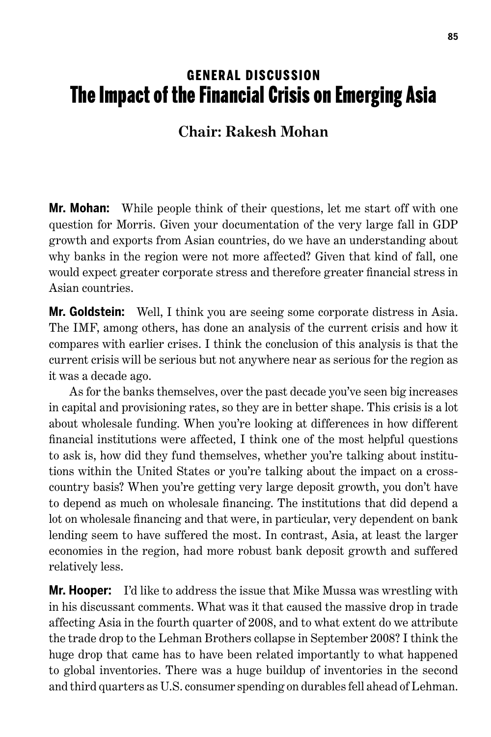## **GENERAL DISCUSSION** The Impact of the Financial Crisis on Emerging Asia

## **Chair: Rakesh Mohan**

**Mr. Mohan:** While people think of their questions, let me start off with one question for Morris. Given your documentation of the very large fall in GDP growth and exports from Asian countries, do we have an understanding about why banks in the region were not more affected? Given that kind of fall, one would expect greater corporate stress and therefore greater financial stress in Asian countries.

**Mr. Goldstein:** Well, I think you are seeing some corporate distress in Asia. The IMF, among others, has done an analysis of the current crisis and how it compares with earlier crises. I think the conclusion of this analysis is that the current crisis will be serious but not anywhere near as serious for the region as it was a decade ago.

As for the banks themselves, over the past decade you've seen big increases in capital and provisioning rates, so they are in better shape. This crisis is a lot about wholesale funding. When you're looking at differences in how different financial institutions were affected, I think one of the most helpful questions to ask is, how did they fund themselves, whether you're talking about institutions within the United States or you're talking about the impact on a crosscountry basis? When you're getting very large deposit growth, you don't have to depend as much on wholesale financing. The institutions that did depend a lot on wholesale financing and that were, in particular, very dependent on bank lending seem to have suffered the most. In contrast, Asia, at least the larger economies in the region, had more robust bank deposit growth and suffered relatively less.

**Mr. Hooper:** I'd like to address the issue that Mike Mussa was wrestling with in his discussant comments. What was it that caused the massive drop in trade affecting Asia in the fourth quarter of 2008, and to what extent do we attribute the trade drop to the Lehman Brothers collapse in September 2008? I think the huge drop that came has to have been related importantly to what happened to global inventories. There was a huge buildup of inventories in the second and third quarters as U.S. consumer spending on durables fell ahead of Lehman.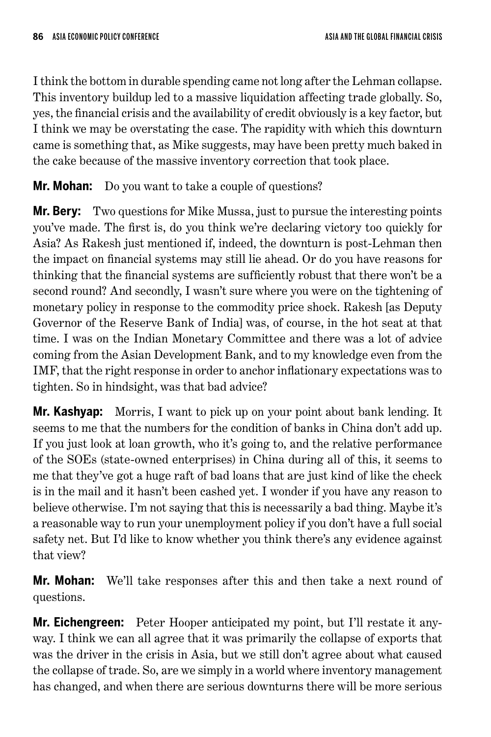I think the bottom in durable spending came not long after the Lehman collapse. This inventory buildup led to a massive liquidation affecting trade globally. So, yes, the financial crisis and the availability of credit obviously is a key factor, but I think we may be overstating the case. The rapidity with which this downturn came is something that, as Mike suggests, may have been pretty much baked in the cake because of the massive inventory correction that took place.

**Mr. Mohan:** Do you want to take a couple of questions?

**Mr. Bery:** Two questions for Mike Mussa, just to pursue the interesting points you've made. The first is, do you think we're declaring victory too quickly for Asia? As Rakesh just mentioned if, indeed, the downturn is post-Lehman then the impact on financial systems may still lie ahead. Or do you have reasons for thinking that the financial systems are sufficiently robust that there won't be a second round? And secondly, I wasn't sure where you were on the tightening of monetary policy in response to the commodity price shock. Rakesh [as Deputy Governor of the Reserve Bank of India] was, of course, in the hot seat at that time. I was on the Indian Monetary Committee and there was a lot of advice coming from the Asian Development Bank, and to my knowledge even from the IMF, that the right response in order to anchor inflationary expectations was to tighten. So in hindsight, was that bad advice?

**Mr. Kashyap:** Morris, I want to pick up on your point about bank lending. It seems to me that the numbers for the condition of banks in China don't add up. If you just look at loan growth, who it's going to, and the relative performance of the SOEs (state-owned enterprises) in China during all of this, it seems to me that they've got a huge raft of bad loans that are just kind of like the check is in the mail and it hasn't been cashed yet. I wonder if you have any reason to believe otherwise. I'm not saying that this is necessarily a bad thing. Maybe it's a reasonable way to run your unemployment policy if you don't have a full social safety net. But I'd like to know whether you think there's any evidence against that view?

**Mr. Mohan:** We'll take responses after this and then take a next round of questions.

**Mr. Eichengreen:** Peter Hooper anticipated my point, but I'll restate it anyway. I think we can all agree that it was primarily the collapse of exports that was the driver in the crisis in Asia, but we still don't agree about what caused the collapse of trade. So, are we simply in a world where inventory management has changed, and when there are serious downturns there will be more serious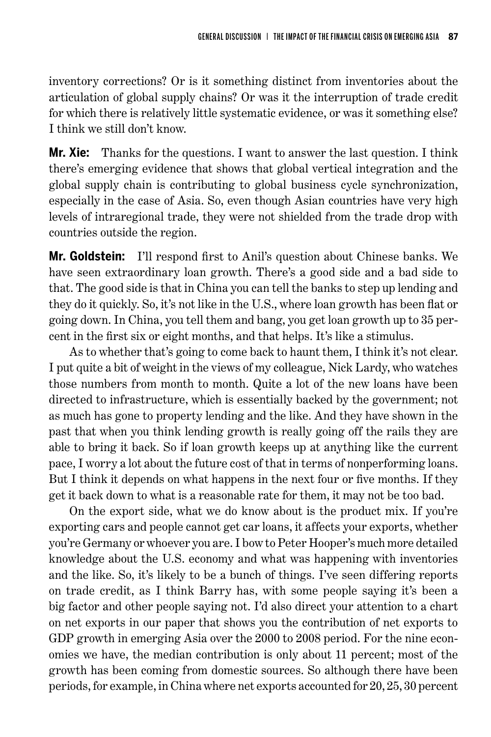inventory corrections? Or is it something distinct from inventories about the articulation of global supply chains? Or was it the interruption of trade credit for which there is relatively little systematic evidence, or was it something else? I think we still don't know.

**Mr. Xie:** Thanks for the questions. I want to answer the last question. I think there's emerging evidence that shows that global vertical integration and the global supply chain is contributing to global business cycle synchronization, especially in the case of Asia. So, even though Asian countries have very high levels of intraregional trade, they were not shielded from the trade drop with countries outside the region.

**Mr. Goldstein:** I'll respond first to Anil's question about Chinese banks. We have seen extraordinary loan growth. There's a good side and a bad side to that. The good side is that in China you can tell the banks to step up lending and they do it quickly. So, it's not like in the U.S., where loan growth has been flat or going down. In China, you tell them and bang, you get loan growth up to 35 percent in the first six or eight months, and that helps. It's like a stimulus.

As to whether that's going to come back to haunt them, I think it's not clear. I put quite a bit of weight in the views of my colleague, Nick Lardy, who watches those numbers from month to month. Quite a lot of the new loans have been directed to infrastructure, which is essentially backed by the government; not as much has gone to property lending and the like. And they have shown in the past that when you think lending growth is really going off the rails they are able to bring it back. So if loan growth keeps up at anything like the current pace, I worry a lot about the future cost of that in terms of nonperforming loans. But I think it depends on what happens in the next four or five months. If they get it back down to what is a reasonable rate for them, it may not be too bad.

On the export side, what we do know about is the product mix. If you're exporting cars and people cannot get car loans, it affects your exports, whether you're Germany or whoever you are. I bow to Peter Hooper's much more detailed knowledge about the U.S. economy and what was happening with inventories and the like. So, it's likely to be a bunch of things. I've seen differing reports on trade credit, as I think Barry has, with some people saying it's been a big factor and other people saying not. I'd also direct your attention to a chart on net exports in our paper that shows you the contribution of net exports to GDP growth in emerging Asia over the 2000 to 2008 period. For the nine economies we have, the median contribution is only about 11 percent; most of the growth has been coming from domestic sources. So although there have been periods, for example, in China where net exports accounted for 20, 25, 30 percent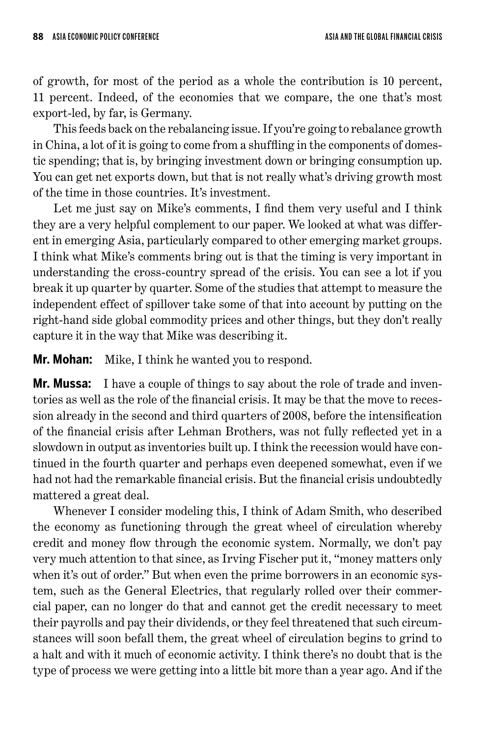of growth, for most of the period as a whole the contribution is 10 percent, 11 percent. Indeed, of the economies that we compare, the one that's most export-led, by far, is Germany.

This feeds back on the rebalancing issue. If you're going to rebalance growth in China, a lot of it is going to come from a shuffling in the components of domestic spending; that is, by bringing investment down or bringing consumption up. You can get net exports down, but that is not really what's driving growth most of the time in those countries. It's investment.

Let me just say on Mike's comments, I find them very useful and I think they are a very helpful complement to our paper. We looked at what was different in emerging Asia, particularly compared to other emerging market groups. I think what Mike's comments bring out is that the timing is very important in understanding the cross-country spread of the crisis. You can see a lot if you break it up quarter by quarter. Some of the studies that attempt to measure the independent effect of spillover take some of that into account by putting on the right-hand side global commodity prices and other things, but they don't really capture it in the way that Mike was describing it.

**Mr. Mohan:** Mike, I think he wanted you to respond.

**Mr. Mussa:** I have a couple of things to say about the role of trade and inventories as well as the role of the financial crisis. It may be that the move to recession already in the second and third quarters of 2008, before the intensification of the financial crisis after Lehman Brothers, was not fully reflected yet in a slowdown in output as inventories built up. I think the recession would have continued in the fourth quarter and perhaps even deepened somewhat, even if we had not had the remarkable financial crisis. But the financial crisis undoubtedly mattered a great deal.

Whenever I consider modeling this, I think of Adam Smith, who described the economy as functioning through the great wheel of circulation whereby credit and money flow through the economic system. Normally, we don't pay very much attention to that since, as Irving Fischer put it, "money matters only when it's out of order." But when even the prime borrowers in an economic system, such as the General Electrics, that regularly rolled over their commercial paper, can no longer do that and cannot get the credit necessary to meet their payrolls and pay their dividends, or they feel threatened that such circumstances will soon befall them, the great wheel of circulation begins to grind to a halt and with it much of economic activity. I think there's no doubt that is the type of process we were getting into a little bit more than a year ago. And if the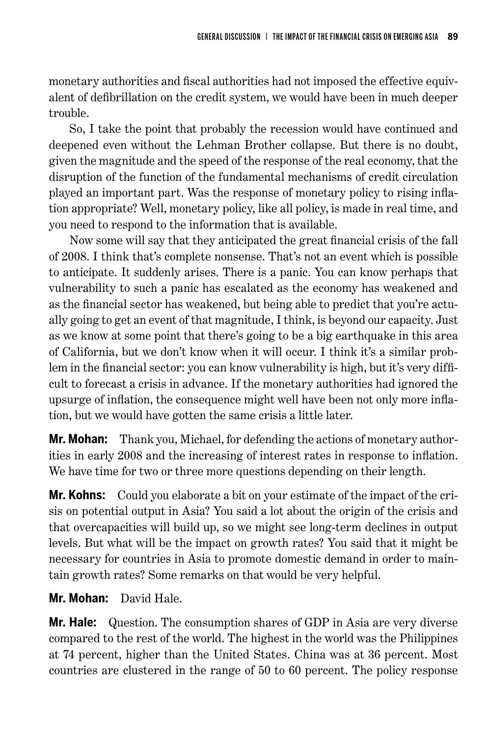monetary authorities and fiscal authorities had not imposed the effective equivalent of defibrillation on the credit system, we would have been in much deeper trouble.

So, I take the point that probably the recession would have continued and deepened even without the Lehman Brother collapse. But there is no doubt, given the magnitude and the speed of the response of the real economy, that the disruption of the function of the fundamental mechanisms of credit circulation played an important part. Was the response of monetary policy to rising inflation appropriate? Well, monetary policy, like all policy, is made in real time, and you need to respond to the information that is available.

Now some will say that they anticipated the great financial crisis of the fall of 2008. I think that's complete nonsense. That's not an event which is possible to anticipate. It suddenly arises. There is a panic. You can know perhaps that vulnerability to such a panic has escalated as the economy has weakened and as the financial sector has weakened, but being able to predict that you're actually going to get an event of that magnitude, I think, is beyond our capacity. Just as we know at some point that there's going to be a big earthquake in this area of California, but we don't know when it will occur. I think it's a similar problem in the financial sector: you can know vulnerability is high, but it's very difficult to forecast a crisis in advance. If the monetary authorities had ignored the upsurge of inflation, the consequence might well have been not only more inflation, but we would have gotten the same crisis a little later.

**Mr. Mohan:** Thank you, Michael, for defending the actions of monetary authorities in early 2008 and the increasing of interest rates in response to inflation. We have time for two or three more questions depending on their length.

**Mr. Kohns:** Could you elaborate a bit on your estimate of the impact of the crisis on potential output in Asia? You said a lot about the origin of the crisis and that overcapacities will build up, so we might see long-term declines in output levels. But what will be the impact on growth rates? You said that it might be necessary for countries in Asia to promote domestic demand in order to maintain growth rates? Some remarks on that would be very helpful.

## **Mr. Mohan:** David Hale.

**Mr. Hale:** Question. The consumption shares of GDP in Asia are very diverse compared to the rest of the world. The highest in the world was the Philippines at 74 percent, higher than the United States. China was at 36 percent. Most countries are clustered in the range of 50 to 60 percent. The policy response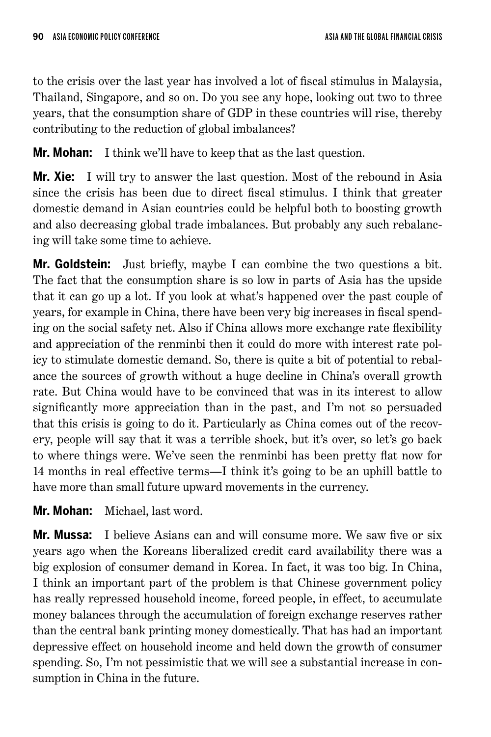to the crisis over the last year has involved a lot of fiscal stimulus in Malaysia, Thailand, Singapore, and so on. Do you see any hope, looking out two to three years, that the consumption share of GDP in these countries will rise, thereby contributing to the reduction of global imbalances?

**Mr. Mohan:** I think we'll have to keep that as the last question.

**Mr. Xie:** I will try to answer the last question. Most of the rebound in Asia since the crisis has been due to direct fiscal stimulus. I think that greater domestic demand in Asian countries could be helpful both to boosting growth and also decreasing global trade imbalances. But probably any such rebalancing will take some time to achieve.

**Mr. Goldstein:** Just briefly, maybe I can combine the two questions a bit. The fact that the consumption share is so low in parts of Asia has the upside that it can go up a lot. If you look at what's happened over the past couple of years, for example in China, there have been very big increases in fiscal spending on the social safety net. Also if China allows more exchange rate flexibility and appreciation of the renminbi then it could do more with interest rate policy to stimulate domestic demand. So, there is quite a bit of potential to rebalance the sources of growth without a huge decline in China's overall growth rate. But China would have to be convinced that was in its interest to allow significantly more appreciation than in the past, and I'm not so persuaded that this crisis is going to do it. Particularly as China comes out of the recovery, people will say that it was a terrible shock, but it's over, so let's go back to where things were. We've seen the renminbi has been pretty flat now for 14 months in real effective terms—I think it's going to be an uphill battle to have more than small future upward movements in the currency.

**Mr. Mohan:** Michael, last word.

**Mr. Mussa:** I believe Asians can and will consume more. We saw five or six years ago when the Koreans liberalized credit card availability there was a big explosion of consumer demand in Korea. In fact, it was too big. In China, I think an important part of the problem is that Chinese government policy has really repressed household income, forced people, in effect, to accumulate money balances through the accumulation of foreign exchange reserves rather than the central bank printing money domestically. That has had an important depressive effect on household income and held down the growth of consumer spending. So, I'm not pessimistic that we will see a substantial increase in consumption in China in the future.